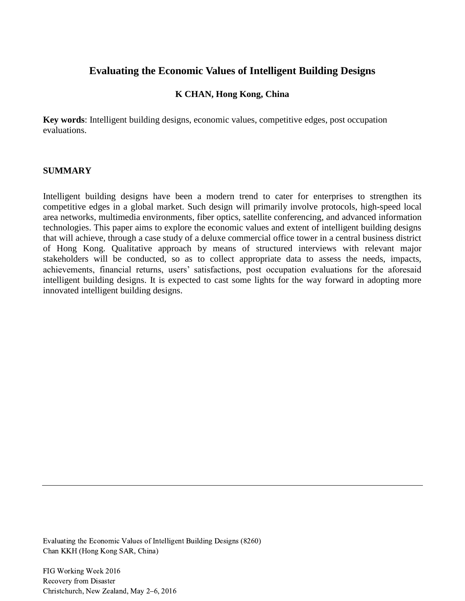# **Evaluating the Economic Values of Intelligent Building Designs**

## **K CHAN, Hong Kong, China**

**Key words**: Intelligent building designs, economic values, competitive edges, post occupation evaluations.

### **SUMMARY**

Intelligent building designs have been a modern trend to cater for enterprises to strengthen its competitive edges in a global market. Such design will primarily involve protocols, high-speed local area networks, multimedia environments, fiber optics, satellite conferencing, and advanced information technologies. This paper aims to explore the economic values and extent of intelligent building designs that will achieve, through a case study of a deluxe commercial office tower in a central business district of Hong Kong. Qualitative approach by means of structured interviews with relevant major stakeholders will be conducted, so as to collect appropriate data to assess the needs, impacts, achievements, financial returns, users' satisfactions, post occupation evaluations for the aforesaid intelligent building designs. It is expected to cast some lights for the way forward in adopting more innovated intelligent building designs.

Evaluating the Economic Values of Intelligent Building Designs (8260) Chan KKH (Hong Kong SAR, China)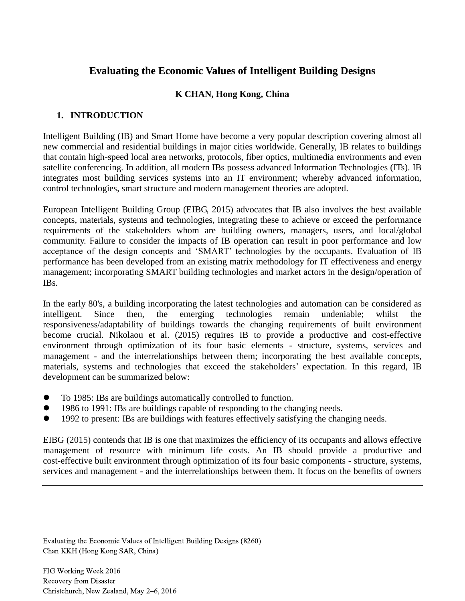# **Evaluating the Economic Values of Intelligent Building Designs**

## **K CHAN, Hong Kong, China**

## **1. INTRODUCTION**

Intelligent Building (IB) and Smart Home have become a very popular description covering almost all new commercial and residential buildings in major cities worldwide. Generally, IB relates to buildings that contain high-speed local area networks, protocols, fiber optics, multimedia environments and even satellite conferencing. In addition, all modern IBs possess advanced Information Technologies (ITs). IB integrates most building services systems into an IT environment; whereby advanced information, control technologies, smart structure and modern management theories are adopted.

European Intelligent Building Group (EIBG, 2015) advocates that IB also involves the best available concepts, materials, systems and technologies, integrating these to achieve or exceed the performance requirements of the stakeholders whom are building owners, managers, users, and local/global community. Failure to consider the impacts of IB operation can result in poor performance and low acceptance of the design concepts and 'SMART' technologies by the occupants. Evaluation of IB performance has been developed from an existing matrix methodology for IT effectiveness and energy management; incorporating SMART building technologies and market actors in the design/operation of IBs.

In the early 80's, a building incorporating the latest technologies and automation can be considered as intelligent. Since then, the emerging technologies remain undeniable; whilst responsiveness/adaptability of buildings towards the changing requirements of built environment become crucial. Nikolaou et al. (2015) requires IB to provide a productive and cost-effective environment through optimization of its four basic elements - structure, systems, services and management - and the interrelationships between them; incorporating the best available concepts, materials, systems and technologies that exceed the stakeholders' expectation. In this regard, IB development can be summarized below:

- To 1985: IBs are buildings automatically controlled to function.
- 1986 to 1991: IBs are buildings capable of responding to the changing needs.
- 1992 to present: IBs are buildings with features effectively satisfying the changing needs.

EIBG (2015) contends that IB is one that maximizes the efficiency of its occupants and allows effective management of resource with minimum life costs. An IB should provide a productive and cost-effective built environment through optimization of its four basic components - structure, systems, services and management - and the interrelationships between them. It focus on the benefits of owners

Evaluating the Economic Values of Intelligent Building Designs (8260) Chan KKH (Hong Kong SAR, China)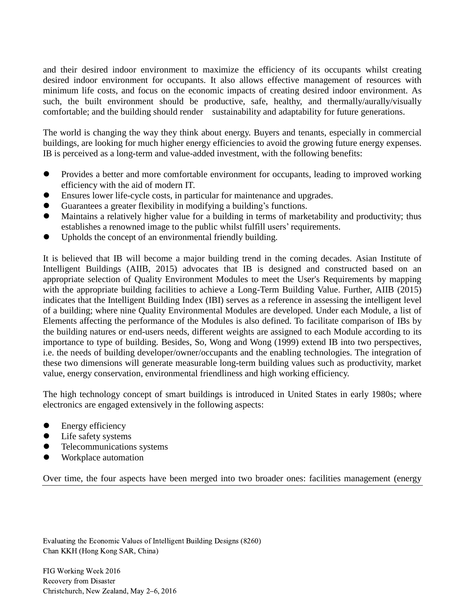and their desired indoor environment to maximize the efficiency of its occupants whilst creating desired indoor environment for occupants. It also allows effective management of resources with minimum life costs, and focus on the economic impacts of creating desired indoor environment. As such, the built environment should be productive, safe, healthy, and thermally/aurally/visually comfortable; and the building should render sustainability and adaptability for future generations.

The world is changing the way they think about energy. Buyers and tenants, especially in commercial buildings, are looking for much higher energy efficiencies to avoid the growing future energy expenses. IB is perceived as a long-term and value-added investment, with the following benefits:

- Provides a better and more comfortable environment for occupants, leading to improved working efficiency with the aid of modern IT.
- Ensures lower life-cycle costs, in particular for maintenance and upgrades.
- Guarantees a greater flexibility in modifying a building's functions.
- Maintains a relatively higher value for a building in terms of marketability and productivity; thus establishes a renowned image to the public whilst fulfill users' requirements.
- Upholds the concept of an environmental friendly building.

It is believed that IB will become a major building trend in the coming decades. Asian Institute of Intelligent Buildings (AIIB, 2015) advocates that IB is designed and constructed based on an appropriate selection of Quality Environment Modules to meet the User's Requirements by mapping with the appropriate building facilities to achieve a Long-Term Building Value. Further, AIIB (2015) indicates that the Intelligent Building Index (IBI) serves as a reference in assessing the intelligent level of a building; where nine Quality Environmental Modules are developed. Under each Module, a list of Elements affecting the performance of the Modules is also defined. To facilitate comparison of IBs by the building natures or end-users needs, different weights are assigned to each Module according to its importance to type of building. Besides, So, Wong and Wong (1999) extend IB into two perspectives, i.e. the needs of building developer/owner/occupants and the enabling technologies. The integration of these two dimensions will generate measurable long-term building values such as productivity, market value, energy conservation, environmental friendliness and high working efficiency.

The high technology concept of smart buildings is introduced in United States in early 1980s; where electronics are engaged extensively in the following aspects:

- Energy efficiency
- Life safety systems
- Telecommunications systems
- Workplace automation

Over time, the four aspects have been merged into two broader ones: facilities management (energy

Evaluating the Economic Values of Intelligent Building Designs (8260) Chan KKH (Hong Kong SAR, China)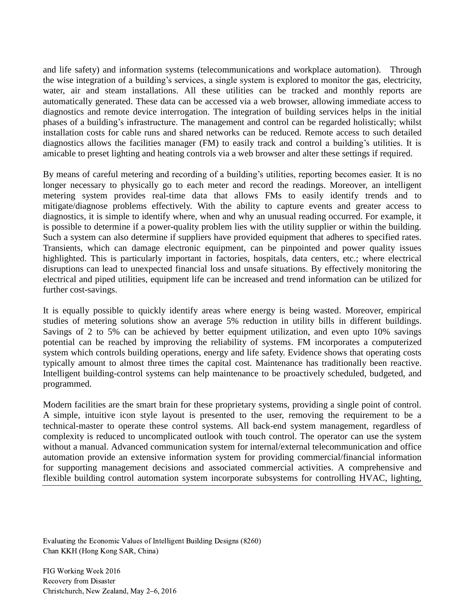and life safety) and information systems (telecommunications and workplace automation). Through the wise integration of a building's services, a single system is explored to monitor the gas, electricity, water, air and steam installations. All these utilities can be tracked and monthly reports are automatically generated. These data can be accessed via a web browser, allowing immediate access to diagnostics and remote device interrogation. The integration of building services helps in the initial phases of a building's infrastructure. The management and control can be regarded holistically; whilst installation costs for cable runs and shared networks can be reduced. Remote access to such detailed diagnostics allows the facilities manager (FM) to easily track and control a building's utilities. It is amicable to preset lighting and heating controls via a web browser and alter these settings if required.

By means of careful metering and recording of a building's utilities, reporting becomes easier. It is no longer necessary to physically go to each meter and record the readings. Moreover, an intelligent metering system provides real-time data that allows FMs to easily identify trends and to mitigate/diagnose problems effectively. With the ability to capture events and greater access to diagnostics, it is simple to identify where, when and why an unusual reading occurred. For example, it is possible to determine if a power-quality problem lies with the utility supplier or within the building. Such a system can also determine if suppliers have provided equipment that adheres to specified rates. Transients, which can damage electronic equipment, can be pinpointed and power quality issues highlighted. This is particularly important in factories, hospitals, data centers, etc.; where electrical disruptions can lead to unexpected financial loss and unsafe situations. By effectively monitoring the electrical and piped utilities, equipment life can be increased and trend information can be utilized for further cost-savings.

It is equally possible to quickly identify areas where energy is being wasted. Moreover, empirical studies of metering solutions show an average 5% reduction in utility bills in different buildings. Savings of 2 to 5% can be achieved by better equipment utilization, and even upto 10% savings potential can be reached by improving the reliability of systems. FM incorporates a computerized system which controls building operations, energy and life safety. Evidence shows that operating costs typically amount to almost three times the capital cost. Maintenance has traditionally been reactive. Intelligent building-control systems can help maintenance to be proactively scheduled, budgeted, and programmed.

Modern facilities are the smart brain for these proprietary systems, providing a single point of control. A simple, intuitive icon style layout is presented to the user, removing the requirement to be a technical-master to operate these control systems. All back-end system management, regardless of complexity is reduced to uncomplicated outlook with touch control. The operator can use the system without a manual. Advanced communication system for internal/external telecommunication and office automation provide an extensive information system for providing commercial/financial information for supporting management decisions and associated commercial activities. A comprehensive and flexible building control automation system incorporate subsystems for controlling HVAC, lighting,

Evaluating the Economic Values of Intelligent Building Designs (8260) Chan KKH (Hong Kong SAR, China)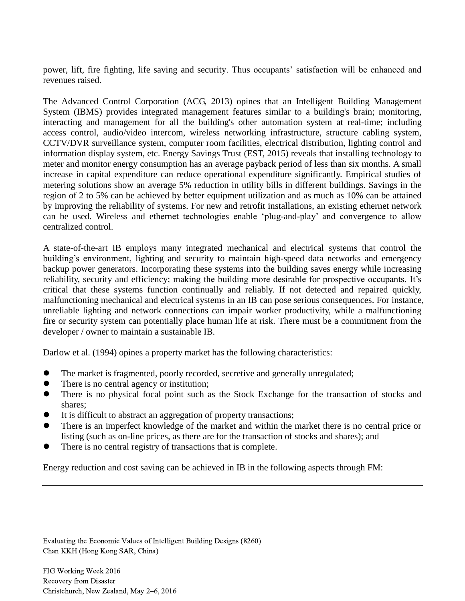power, lift, fire fighting, life saving and security. Thus occupants' satisfaction will be enhanced and revenues raised.

The Advanced Control Corporation (ACG, 2013) opines that an Intelligent Building Management System (IBMS) provides integrated management features similar to a building's brain; monitoring, interacting and management for all the building's other automation system at real-time; including access control, audio/video intercom, wireless networking infrastructure, structure cabling system, CCTV/DVR surveillance system, computer room facilities, electrical distribution, lighting control and information display system, etc. Energy Savings Trust (EST, 2015) reveals that installing technology to meter and monitor energy consumption has an average payback period of less than six months. A small increase in capital expenditure can reduce operational expenditure significantly. Empirical studies of metering solutions show an average 5% reduction in utility bills in different buildings. Savings in the region of 2 to 5% can be achieved by better equipment utilization and as much as 10% can be attained by improving the reliability of systems. For new and retrofit installations, an existing ethernet network can be used. Wireless and ethernet technologies enable 'plug-and-play' and convergence to allow centralized control.

A state-of-the-art IB employs many integrated mechanical and electrical systems that control the building's environment, lighting and security to maintain high-speed data networks and emergency backup power generators. Incorporating these systems into the building saves energy while increasing reliability, security and efficiency; making the building more desirable for prospective occupants. It's critical that these systems function continually and reliably. If not detected and repaired quickly, malfunctioning mechanical and electrical systems in an IB can pose serious consequences. For instance, unreliable lighting and network connections can impair worker productivity, while a malfunctioning fire or security system can potentially place human life at risk. There must be a commitment from the developer / owner to maintain a sustainable IB.

Darlow et al. (1994) opines a property market has the following characteristics:

- The market is fragmented, poorly recorded, secretive and generally unregulated;
- There is no central agency or institution;
- There is no physical focal point such as the Stock Exchange for the transaction of stocks and shares;
- It is difficult to abstract an aggregation of property transactions;
- There is an imperfect knowledge of the market and within the market there is no central price or listing (such as on-line prices, as there are for the transaction of stocks and shares); and
- There is no central registry of transactions that is complete.

Energy reduction and cost saving can be achieved in IB in the following aspects through FM:

Evaluating the Economic Values of Intelligent Building Designs (8260) Chan KKH (Hong Kong SAR, China)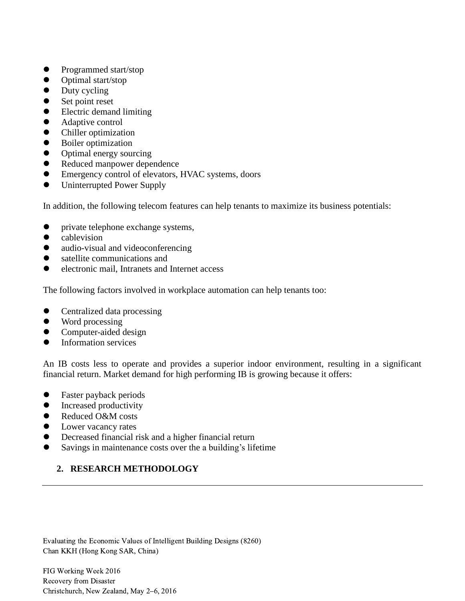- Programmed start/stop
- Optimal start/stop
- Duty cycling
- Set point reset
- Electric demand limiting
- Adaptive control
- Chiller optimization
- Boiler optimization
- Optimal energy sourcing
- Reduced manpower dependence
- Emergency control of elevators, HVAC systems, doors
- Uninterrupted Power Supply

In addition, the following telecom features can help tenants to maximize its business potentials:

- private telephone exchange systems,
- cablevision
- audio-visual and videoconferencing
- satellite communications and
- electronic mail, Intranets and Internet access

The following factors involved in workplace automation can help tenants too:

- Centralized data processing
- Word processing
- Computer-aided design
- **•** Information services

An IB costs less to operate and provides a superior indoor environment, resulting in a significant financial return. Market demand for high performing IB is growing because it offers:

- Faster payback periods
- Increased productivity
- Reduced O&M costs
- Lower vacancy rates
- Decreased financial risk and a higher financial return
- Savings in maintenance costs over the a building's lifetime

# **2. RESEARCH METHODOLOGY**

Evaluating the Economic Values of Intelligent Building Designs (8260) Chan KKH (Hong Kong SAR, China)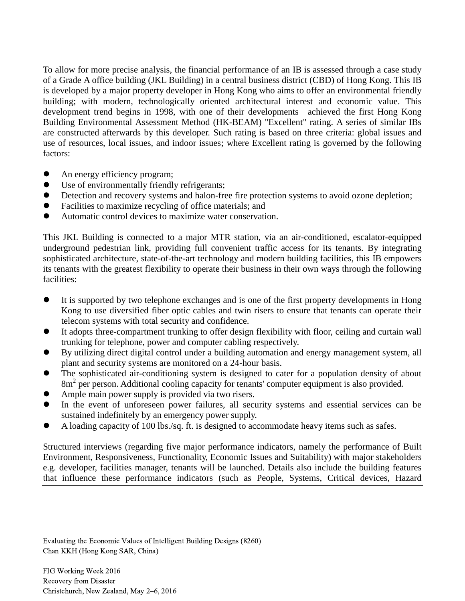To allow for more precise analysis, the financial performance of an IB is assessed through a case study of a Grade A office building (JKL Building) in a central business district (CBD) of Hong Kong. This IB is developed by a major property developer in Hong Kong who aims to offer an environmental friendly building; with modern, technologically oriented architectural interest and economic value. This development trend begins in 1998, with one of their developments achieved the first Hong Kong Building Environmental Assessment Method (HK-BEAM) "Excellent" rating. A series of similar IBs are constructed afterwards by this developer. Such rating is based on three criteria: global issues and use of resources, local issues, and indoor issues; where Excellent rating is governed by the following factors:

- An energy efficiency program;
- Use of environmentally friendly refrigerants;
- Detection and recovery systems and halon-free fire protection systems to avoid ozone depletion;
- Facilities to maximize recycling of office materials; and
- Automatic control devices to maximize water conservation.

This JKL Building is connected to a major MTR station, via an air-conditioned, escalator-equipped underground pedestrian link, providing full convenient traffic access for its tenants. By integrating sophisticated architecture, state-of-the-art technology and modern building facilities, this IB empowers its tenants with the greatest flexibility to operate their business in their own ways through the following facilities:

- It is supported by two telephone exchanges and is one of the first property developments in Hong Kong to use diversified fiber optic cables and twin risers to ensure that tenants can operate their telecom systems with total security and confidence.
- It adopts three-compartment trunking to offer design flexibility with floor, ceiling and curtain wall trunking for telephone, power and computer cabling respectively.
- By utilizing direct digital control under a building automation and energy management system, all plant and security systems are monitored on a 24-hour basis.
- The sophisticated air-conditioning system is designed to cater for a population density of about 8m<sup>2</sup> per person. Additional cooling capacity for tenants' computer equipment is also provided.
- Ample main power supply is provided via two risers.
- In the event of unforeseen power failures, all security systems and essential services can be sustained indefinitely by an emergency power supply.
- A loading capacity of 100 lbs./sq. ft. is designed to accommodate heavy items such as safes.

Structured interviews (regarding five major performance indicators, namely the performance of Built Environment, Responsiveness, Functionality, Economic Issues and Suitability) with major stakeholders e.g. developer, facilities manager, tenants will be launched. Details also include the building features that influence these performance indicators (such as People, Systems, Critical devices, Hazard

Evaluating the Economic Values of Intelligent Building Designs (8260) Chan KKH (Hong Kong SAR, China)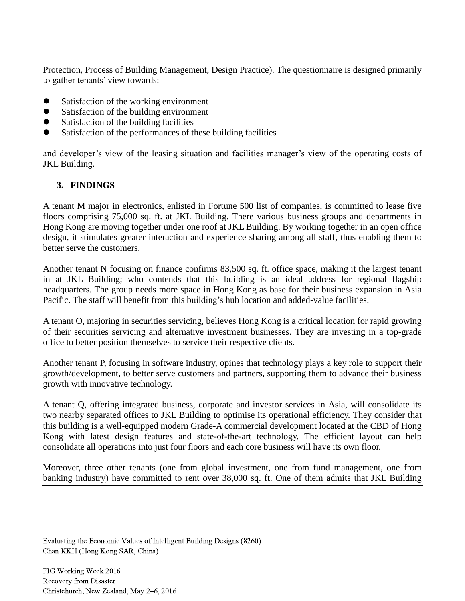Protection, Process of Building Management, Design Practice). The questionnaire is designed primarily to gather tenants' view towards:

- Satisfaction of the working environment
- Satisfaction of the building environment
- Satisfaction of the building facilities
- Satisfaction of the performances of these building facilities

and developer's view of the leasing situation and facilities manager's view of the operating costs of JKL Building.

## **3. FINDINGS**

A tenant M major in electronics, enlisted in Fortune 500 list of companies, is committed to lease five floors comprising 75,000 sq. ft. at JKL Building. There various business groups and departments in Hong Kong are moving together under one roof at JKL Building. By working together in an open office design, it stimulates greater interaction and experience sharing among all staff, thus enabling them to better serve the customers.

Another tenant N focusing on finance confirms 83,500 sq. ft. office space, making it the largest tenant in at JKL Building; who contends that this building is an ideal address for regional flagship headquarters. The group needs more space in Hong Kong as base for their business expansion in Asia Pacific. The staff will benefit from this building's hub location and added-value facilities.

A tenant O, majoring in securities servicing, believes Hong Kong is a critical location for rapid growing of their securities servicing and alternative investment businesses. They are investing in a top-grade office to better position themselves to service their respective clients.

Another tenant P, focusing in software industry, opines that technology plays a key role to support their growth/development, to better serve customers and partners, supporting them to advance their business growth with innovative technology.

A tenant Q, offering integrated business, corporate and investor services in Asia, will consolidate its two nearby separated offices to JKL Building to optimise its operational efficiency. They consider that this building is a well-equipped modern Grade-A commercial development located at the CBD of Hong Kong with latest design features and state-of-the-art technology. The efficient layout can help consolidate all operations into just four floors and each core business will have its own floor.

Moreover, three other tenants (one from global investment, one from fund management, one from banking industry) have committed to rent over 38,000 sq. ft. One of them admits that JKL Building

Evaluating the Economic Values of Intelligent Building Designs (8260) Chan KKH (Hong Kong SAR, China)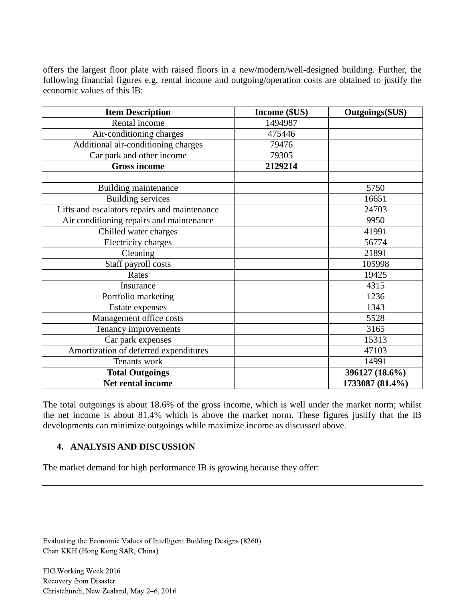offers the largest floor plate with raised floors in a new/modern/well-designed building. Further, the following financial figures e.g. rental income and outgoing/operation costs are obtained to justify the economic values of this IB:

| <b>Item Description</b>                      | Income (\$US) | Outgoings(\$US) |
|----------------------------------------------|---------------|-----------------|
| Rental income                                | 1494987       |                 |
| Air-conditioning charges                     | 475446        |                 |
| Additional air-conditioning charges          | 79476         |                 |
| Car park and other income                    | 79305         |                 |
| <b>Gross income</b>                          | 2129214       |                 |
|                                              |               |                 |
| Building maintenance                         |               | 5750            |
| <b>Building services</b>                     |               | 16651           |
| Lifts and escalators repairs and maintenance |               | 24703           |
| Air conditioning repairs and maintenance     |               | 9950            |
| Chilled water charges                        |               | 41991           |
| Electricity charges                          |               | 56774           |
| Cleaning                                     |               | 21891           |
| Staff payroll costs                          |               | 105998          |
| Rates                                        |               | 19425           |
| Insurance                                    |               | 4315            |
| Portfolio marketing                          |               | 1236            |
| Estate expenses                              |               | 1343            |
| Management office costs                      |               | 5528            |
| Tenancy improvements                         |               | 3165            |
| Car park expenses                            |               | 15313           |
| Amortization of deferred expenditures        |               | 47103           |
| Tenants work                                 |               | 14991           |
| <b>Total Outgoings</b>                       |               | 396127 (18.6%)  |
| Net rental income                            |               | 1733087 (81.4%) |

The total outgoings is about 18.6% of the gross income, which is well under the market norm; whilst the net income is about 81.4% which is above the market norm. These figures justify that the IB developments can minimize outgoings while maximize income as discussed above.

### **4. ANALYSIS AND DISCUSSION**

The market demand for high performance IB is growing because they offer:

Evaluating the Economic Values of Intelligent Building Designs (8260) Chan KKH (Hong Kong SAR, China)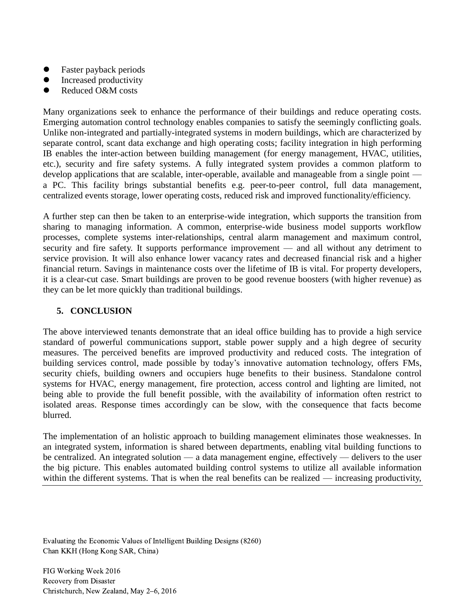- Faster payback periods
- Increased productivity
- Reduced O&M costs

Many organizations seek to enhance the performance of their buildings and reduce operating costs. Emerging automation control technology enables companies to satisfy the seemingly conflicting goals. Unlike non-integrated and partially-integrated systems in modern buildings, which are characterized by separate control, scant data exchange and high operating costs; facility integration in high performing IB enables the inter-action between building management (for energy management, HVAC, utilities, etc.), security and fire safety systems. A fully integrated system provides a common platform to develop applications that are scalable, inter-operable, available and manageable from a single point a PC. This facility brings substantial benefits e.g. peer-to-peer control, full data management, centralized events storage, lower operating costs, reduced risk and improved functionality/efficiency.

A further step can then be taken to an enterprise-wide integration, which supports the transition from sharing to managing information. A common, enterprise-wide business model supports workflow processes, complete systems inter-relationships, central alarm management and maximum control, security and fire safety. It supports performance improvement — and all without any detriment to service provision. It will also enhance lower vacancy rates and decreased financial risk and a higher financial return. Savings in maintenance costs over the lifetime of IB is vital. For property developers, it is a clear-cut case. Smart buildings are proven to be good revenue boosters (with higher revenue) as they can be let more quickly than traditional buildings.

### **5. CONCLUSION**

The above interviewed tenants demonstrate that an ideal office building has to provide a high service standard of powerful communications support, stable power supply and a high degree of security measures. The perceived benefits are improved productivity and reduced costs. The integration of building services control, made possible by today's innovative automation technology, offers FMs, security chiefs, building owners and occupiers huge benefits to their business. Standalone control systems for HVAC, energy management, fire protection, access control and lighting are limited, not being able to provide the full benefit possible, with the availability of information often restrict to isolated areas. Response times accordingly can be slow, with the consequence that facts become blurred.

The implementation of an holistic approach to building management eliminates those weaknesses. In an integrated system, information is shared between departments, enabling vital building functions to be centralized. An integrated solution — a data management engine, effectively — delivers to the user the big picture. This enables automated building control systems to utilize all available information within the different systems. That is when the real benefits can be realized — increasing productivity,

Evaluating the Economic Values of Intelligent Building Designs (8260) Chan KKH (Hong Kong SAR, China)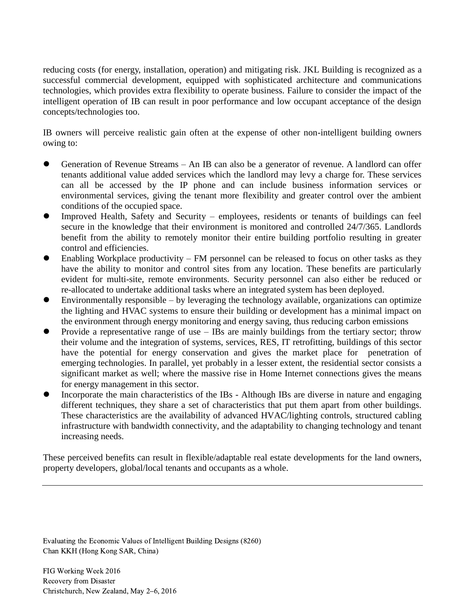reducing costs (for energy, installation, operation) and mitigating risk. JKL Building is recognized as a successful commercial development, equipped with sophisticated architecture and communications technologies, which provides extra flexibility to operate business. Failure to consider the impact of the intelligent operation of IB can result in poor performance and low occupant acceptance of the design concepts/technologies too.

IB owners will perceive realistic gain often at the expense of other non-intelligent building owners owing to:

- Generation of Revenue Streams An IB can also be a generator of revenue. A landlord can offer tenants additional value added services which the landlord may levy a charge for. These services can all be accessed by the IP phone and can include business information services or environmental services, giving the tenant more flexibility and greater control over the ambient conditions of the occupied space.
- Improved Health, Safety and Security employees, residents or tenants of buildings can feel secure in the knowledge that their environment is monitored and controlled 24/7/365. Landlords benefit from the ability to remotely monitor their entire building portfolio resulting in greater control and efficiencies.
- Enabling Workplace productivity FM personnel can be released to focus on other tasks as they have the ability to monitor and control sites from any location. These benefits are particularly evident for multi-site, remote environments. Security personnel can also either be reduced or re-allocated to undertake additional tasks where an integrated system has been deployed.
- Environmentally responsible by leveraging the technology available, organizations can optimize the lighting and HVAC systems to ensure their building or development has a minimal impact on the environment through energy monitoring and energy saving, thus reducing carbon emissions
- Provide a representative range of use IBs are mainly buildings from the tertiary sector; throw their volume and the integration of systems, services, RES, IT retrofitting, buildings of this sector have the potential for energy conservation and gives the market place for penetration of emerging technologies. In parallel, yet probably in a lesser extent, the residential sector consists a significant market as well; where the massive rise in Home Internet connections gives the means for energy management in this sector.
- Incorporate the main characteristics of the IBs Although IBs are diverse in nature and engaging different techniques, they share a set of characteristics that put them apart from other buildings. These characteristics are the availability of advanced HVAC/lighting controls, structured cabling infrastructure with bandwidth connectivity, and the adaptability to changing technology and tenant increasing needs.

These perceived benefits can result in flexible/adaptable real estate developments for the land owners, property developers, global/local tenants and occupants as a whole.

Evaluating the Economic Values of Intelligent Building Designs (8260) Chan KKH (Hong Kong SAR, China)